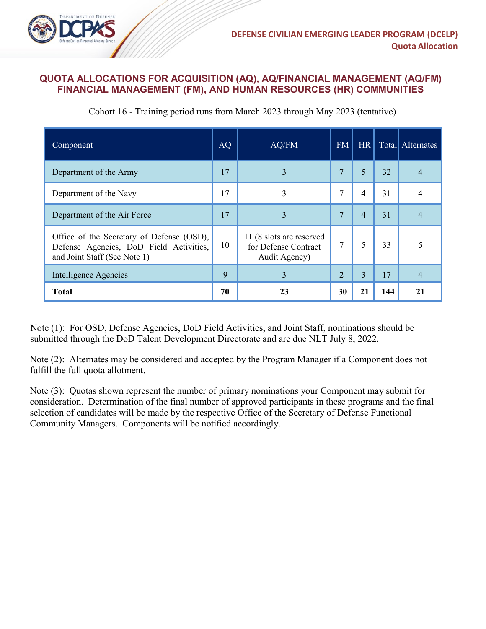

## **QUOTA ALLOCATIONS FOR ACQUISITION (AQ), AQ/FINANCIAL MANAGEMENT (AQ/FM) FINANCIAL MANAGEMENT (FM), AND HUMAN RESOURCES (HR) COMMUNITIES**

| Component                                                                                                            | <b>AQ</b> | AQ/FM                                                             | <b>FM</b> | <b>HR</b>      |     | Total Alternates |
|----------------------------------------------------------------------------------------------------------------------|-----------|-------------------------------------------------------------------|-----------|----------------|-----|------------------|
| Department of the Army                                                                                               | 17        | 3                                                                 | 7         | 5              | 32  |                  |
| Department of the Navy                                                                                               | 17        | 3                                                                 | 7         | 4              | 31  |                  |
| Department of the Air Force                                                                                          | 17        | 3                                                                 | 7         | $\overline{4}$ | 31  |                  |
| Office of the Secretary of Defense (OSD),<br>Defense Agencies, DoD Field Activities,<br>and Joint Staff (See Note 1) | 10        | 11 (8 slots are reserved<br>for Defense Contract<br>Audit Agency) | 7         | 5              | 33  |                  |
| Intelligence Agencies                                                                                                | 9         | $\overline{3}$                                                    | 2         | $\overline{3}$ | 17  | 4                |
| <b>Total</b>                                                                                                         | 70        | 23                                                                | 30        | 21             | 144 | 21               |

Cohort 16 - Training period runs from March 2023 through May 2023 (tentative)

Note (1): For OSD, Defense Agencies, DoD Field Activities, and Joint Staff, nominations should be submitted through the DoD Talent Development Directorate and are due NLT July 8, 2022.

Note (2): Alternates may be considered and accepted by the Program Manager if a Component does not fulfill the full quota allotment.

Note (3): Quotas shown represent the number of primary nominations your Component may submit for consideration. Determination of the final number of approved participants in these programs and the final selection of candidates will be made by the respective Office of the Secretary of Defense Functional Community Managers. Components will be notified accordingly.